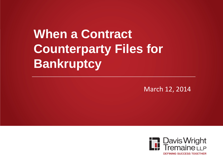# **When a Contract Counterparty Files for Bankruptcy**

March 12, 2014

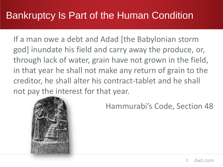# Bankruptcy Is Part of the Human Condition

If a man owe a debt and Adad [the Babylonian storm god] inundate his field and carry away the produce, or, through lack of water, grain have not grown in the field, in that year he shall not make any return of grain to the creditor, he shall alter his contract-tablet and he shall not pay the interest for that year.



Hammurabi's Code, Section 48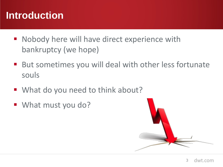# **Introduction**

- Nobody here will have direct experience with bankruptcy (we hope)
- But sometimes you will deal with other less fortunate souls
- What do you need to think about?
- What must you do?

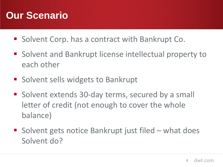# **Our Scenario**

- Solvent Corp. has a contract with Bankrupt Co.
- Solvent and Bankrupt license intellectual property to each other
- **Solvent sells widgets to Bankrupt**
- Solvent extends 30-day terms, secured by a small letter of credit (not enough to cover the whole balance)
- Solvent gets notice Bankrupt just filed what does Solvent do?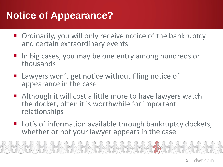# **Notice of Appearance?**

- **Ordinarily, you will only receive notice of the bankruptcy** and certain extraordinary events
- In big cases, you may be one entry among hundreds or thousands
- Lawyers won't get notice without filing notice of appearance in the case
- Although it will cost a little more to have lawyers watch the docket, often it is worthwhile for important relationships
- Lot's of information available through bankruptcy dockets, whether or not your lawyer appears in the case

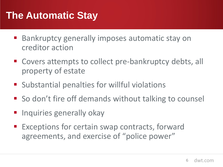# **The Automatic Stay**

- Bankruptcy generally imposes automatic stay on creditor action
- Covers attempts to collect pre-bankruptcy debts, all property of estate
- **Substantial penalties for willful violations**
- So don't fire off demands without talking to counsel
- **Inquiries generally okay**
- Exceptions for certain swap contracts, forward agreements, and exercise of "police power"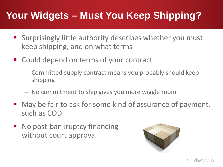# **Your Widgets – Must You Keep Shipping?**

- **Surprisingly little authority describes whether you must** keep shipping, and on what terms
- Could depend on terms of your contract
	- Committed supply contract means you probably should keep shipping
	- No commitment to ship gives you more wiggle room
- May be fair to ask for some kind of assurance of payment, such as COD
- No post-bankruptcy financing without court approval

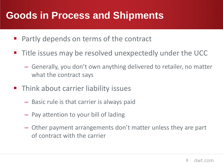#### **Goods in Process and Shipments**

- **Partly depends on terms of the contract**
- **Title issues may be resolved unexpectedly under the UCC** 
	- Generally, you don't own anything delivered to retailer, no matter what the contract says
- **Think about carrier liability issues** 
	- Basic rule is that carrier is always paid
	- Pay attention to your bill of lading
	- Other payment arrangements don't matter unless they are part of contract with the carrier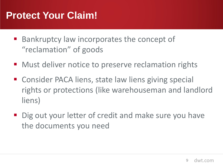#### **Protect Your Claim!**

- **Bankruptcy law incorporates the concept of** "reclamation" of goods
- Must deliver notice to preserve reclamation rights
- Consider PACA liens, state law liens giving special rights or protections (like warehouseman and landlord liens)
- Dig out your letter of credit and make sure you have the documents you need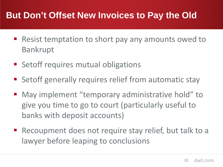#### **But Don't Offset New Invoices to Pay the Old**

- Resist temptation to short pay any amounts owed to Bankrupt
- **Setoff requires mutual obligations**
- **Setoff generally requires relief from automatic stay**
- May implement "temporary administrative hold" to give you time to go to court (particularly useful to banks with deposit accounts)
- Recoupment does not require stay relief, but talk to a lawyer before leaping to conclusions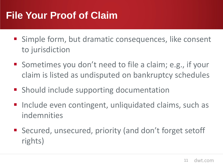# **File Your Proof of Claim**

- Simple form, but dramatic consequences, like consent to jurisdiction
- Sometimes you don't need to file a claim; e.g., if your claim is listed as undisputed on bankruptcy schedules
- **Should include supporting documentation**
- Include even contingent, unliquidated claims, such as indemnities
- Secured, unsecured, priority (and don't forget setoff rights)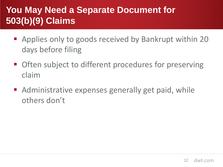#### **You May Need a Separate Document for 503(b)(9) Claims**

- Applies only to goods received by Bankrupt within 20 days before filing
- **Often subject to different procedures for preserving** claim
- Administrative expenses generally get paid, while others don't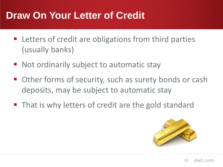#### **Draw On Your Letter of Credit**

- **EXTERGHEET Letters of credit are obligations from third parties** (usually banks)
- Not ordinarily subject to automatic stay
- Other forms of security, such as surety bonds or cash deposits, may be subject to automatic stay
- **That is why letters of credit are the gold standard**

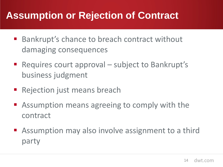# **Assumption or Rejection of Contract**

- Bankrupt's chance to breach contract without damaging consequences
- Requires court approval subject to Bankrupt's business judgment
- **Rejection just means breach**
- Assumption means agreeing to comply with the contract
- **Assumption may also involve assignment to a third** party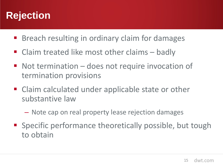#### **Rejection**

- **Breach resulting in ordinary claim for damages**
- Claim treated like most other claims badly
- Not termination does not require invocation of termination provisions
- Claim calculated under applicable state or other substantive law
	- Note cap on real property lease rejection damages
- **Specific performance theoretically possible, but tough** to obtain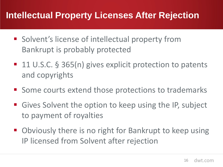#### **Intellectual Property Licenses After Rejection**

- Solvent's license of intellectual property from Bankrupt is probably protected
- 11 U.S.C. § 365(n) gives explicit protection to patents and copyrights
- Some courts extend those protections to trademarks
- Gives Solvent the option to keep using the IP, subject to payment of royalties
- Obviously there is no right for Bankrupt to keep using IP licensed from Solvent after rejection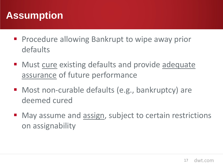# **Assumption**

- **Procedure allowing Bankrupt to wipe away prior** defaults
- Must cure existing defaults and provide adequate assurance of future performance
- Most non-curable defaults (e.g., bankruptcy) are deemed cured
- May assume and assign, subject to certain restrictions on assignability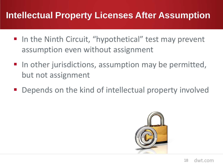#### **Intellectual Property Licenses After Assumption**

- In the Ninth Circuit, "hypothetical" test may prevent assumption even without assignment
- $\blacksquare$  In other jurisdictions, assumption may be permitted, but not assignment
- Depends on the kind of intellectual property involved

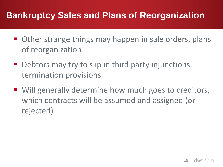#### **Bankruptcy Sales and Plans of Reorganization**

- Other strange things may happen in sale orders, plans of reorganization
- Debtors may try to slip in third party injunctions, termination provisions
- Will generally determine how much goes to creditors, which contracts will be assumed and assigned (or rejected)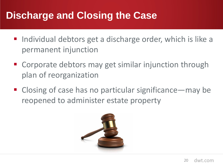# **Discharge and Closing the Case**

- Individual debtors get a discharge order, which is like a permanent injunction
- Corporate debtors may get similar injunction through plan of reorganization
- Closing of case has no particular significance—may be reopened to administer estate property

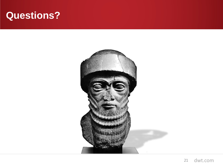#### **Questions?**